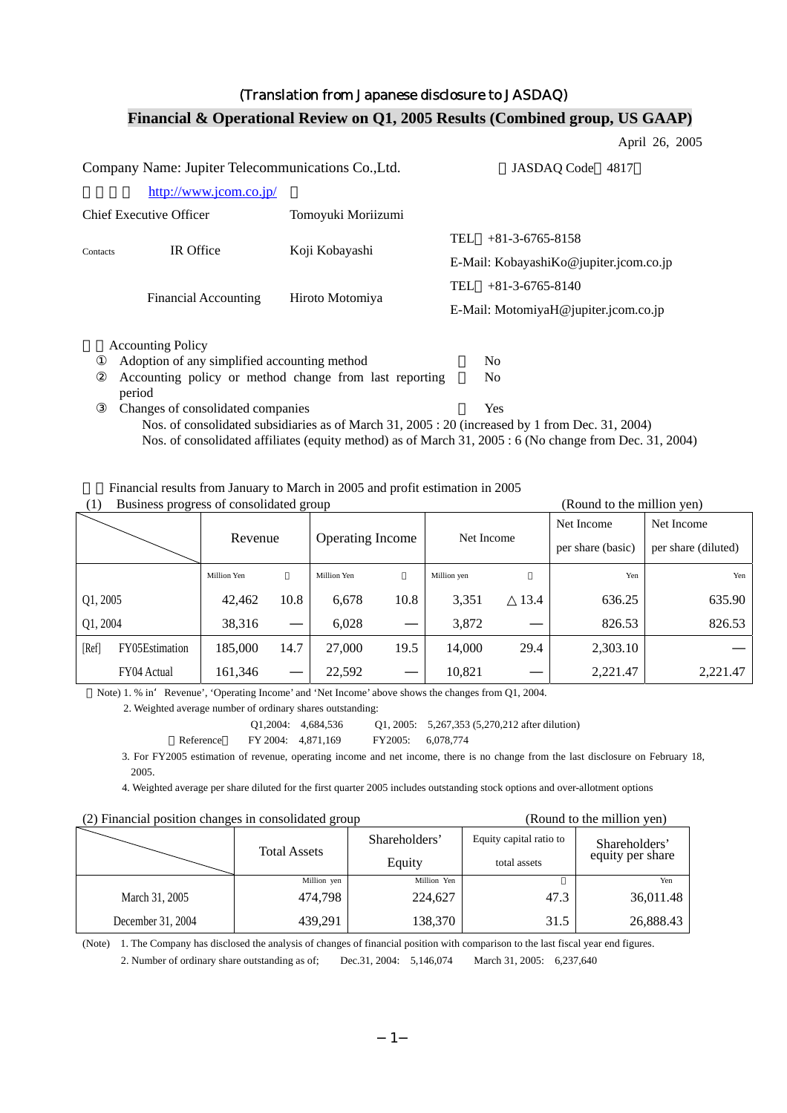#### (Translation from Japanese disclosure to JASDAQ)

#### April 26, 2005 Company Name: Jupiter Telecommunications Co.,Ltd. JASDAQ Code 4817 [http://www.jcom.co.jp/](http://www.jcomxxxxxxxxx.co.jp/) Chief Executive Officer Tomoyuki Moriizumi Contacts IR Office Koji Kobayashi TEL +81-3-6765-8158 E-Mail: KobayashiKo@jupiter.jcom.co.jp Financial Accounting Hiroto Motomiya TEL +81-3-6765-8140 E-Mail: MotomiyaH@jupiter.jcom.co.jp Accounting Policy Adoption of any simplified accounting method  $\sim$  No Accounting policy or method change from last reporting period  $N<sub>0</sub>$ Changes of consolidated companies  $\gamma$ Nos. of consolidated subsidiaries as of March 31, 2005 : 20 (increased by 1 from Dec. 31, 2004) Nos. of consolidated affiliates (equity method) as of March 31, 2005 : 6 (No change from Dec. 31, 2004)

#### **Financial & Operational Review on Q1, 2005 Results (Combined group, US GAAP)**

2.Financial results from January to March in 2005 and profit estimation in 2005

| (1)<br>Business progress of consolidated group |  |
|------------------------------------------------|--|
|------------------------------------------------|--|

|          |                | Revenue     |      | <b>Operating Income</b> |      | Net Income  |      | Net Income<br>per share (basic) | Net Income<br>per share (diluted) |
|----------|----------------|-------------|------|-------------------------|------|-------------|------|---------------------------------|-----------------------------------|
|          |                | Million Yen |      | Million Yen             |      | Million yen |      | Yen                             | Yen                               |
| Q1, 2005 |                | 42,462      | 10.8 | 6,678                   | 10.8 | 3,351       | 13.4 | 636.25                          | 635.90                            |
| Q1, 2004 |                | 38,316      |      | 6,028                   |      | 3,872       |      | 826.53                          | 826.53                            |
| [Ref]    | FY05Estimation | 185,000     | 14.7 | 27,000                  | 19.5 | 14,000      | 29.4 | 2,303.10                        |                                   |
|          | FY04 Actual    | 161.346     |      | 22,592                  |      | 10,821      |      | 2,221.47                        | 2.221.47                          |

(Round to the million yen)

Note) 1. % in Revenue', 'Operating Income' and 'Net Income' above shows the changes from Q1, 2004.

2. Weighted average number of ordinary shares outstanding:

Q1,2004: 4,684,536 Q1, 2005: 5,267,353 (5,270,212 after dilution)



3. For FY2005 estimation of revenue, operating income and net income, there is no change from the last disclosure on February 18, 2005.

4. Weighted average per share diluted for the first quarter 2005 includes outstanding stock options and over-allotment options

#### (2) Financial position changes in consolidated group (Round to the million yen)

| $\omega$ , i maneral position enanges in consonance group |                     |             |                         |                  |  |
|-----------------------------------------------------------|---------------------|-------------|-------------------------|------------------|--|
|                                                           | <b>Total Assets</b> |             | Equity capital ratio to | Shareholders'    |  |
|                                                           |                     | Equity      | total assets            | equity per share |  |
|                                                           | Million yen         | Million Yen |                         | Yen              |  |
| March 31, 2005                                            | 474,798             | 224,627     | 47.3                    | 36,011.48        |  |
| December 31, 2004                                         | 439,291             | 138,370     | 31.5                    | 26,888.43        |  |

(Note) 1. The Company has disclosed the analysis of changes of financial position with comparison to the last fiscal year end figures.

2. Number of ordinary share outstanding as of; Dec.31, 2004: 5,146,074 March 31, 2005: 6,237,640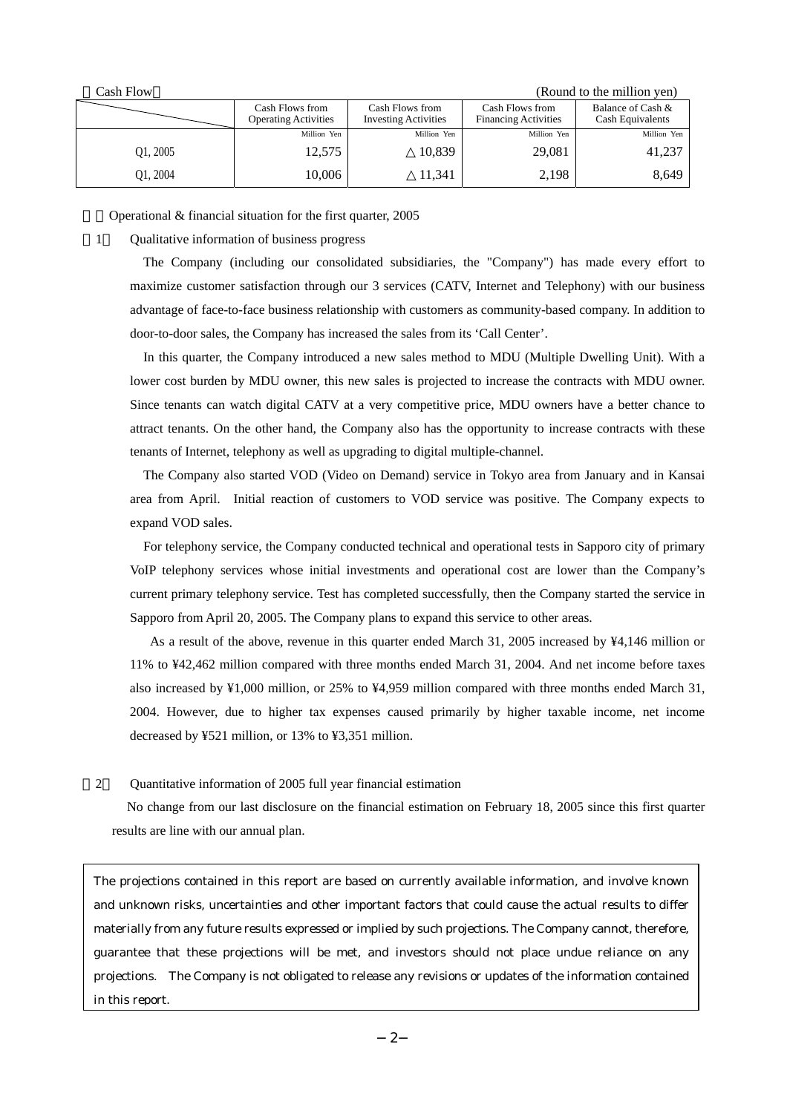| Cash Flow |                                                |                                                |                                                | (Round to the million yen)            |
|-----------|------------------------------------------------|------------------------------------------------|------------------------------------------------|---------------------------------------|
|           | Cash Flows from<br><b>Operating Activities</b> | Cash Flows from<br><b>Investing Activities</b> | Cash Flows from<br><b>Financing Activities</b> | Balance of Cash &<br>Cash Equivalents |
|           | Million Yen                                    | Million Yen                                    | Million Yen                                    | Million Yen                           |
| 01, 2005  | 12,575                                         | 10,839                                         | 29,081                                         | 41,237                                |
| Q1, 2004  | 10,006                                         | 11,341                                         | 2,198                                          | 8,649                                 |

Operational  $&$  financial situation for the first quarter, 2005

1) Qualitative information of business progress

The Company (including our consolidated subsidiaries, the "Company") has made every effort to maximize customer satisfaction through our 3 services (CATV, Internet and Telephony) with our business advantage of face-to-face business relationship with customers as community-based company. In addition to door-to-door sales, the Company has increased the sales from its 'Call Center'.

In this quarter, the Company introduced a new sales method to MDU (Multiple Dwelling Unit). With a lower cost burden by MDU owner, this new sales is projected to increase the contracts with MDU owner. Since tenants can watch digital CATV at a very competitive price, MDU owners have a better chance to attract tenants. On the other hand, the Company also has the opportunity to increase contracts with these tenants of Internet, telephony as well as upgrading to digital multiple-channel.

The Company also started VOD (Video on Demand) service in Tokyo area from January and in Kansai area from April. Initial reaction of customers to VOD service was positive. The Company expects to expand VOD sales.

For telephony service, the Company conducted technical and operational tests in Sapporo city of primary VoIP telephony services whose initial investments and operational cost are lower than the Company's current primary telephony service. Test has completed successfully, then the Company started the service in Sapporo from April 20, 2005. The Company plans to expand this service to other areas.

As a result of the above, revenue in this quarter ended March 31, 2005 increased by ¥4,146 million or 11% to ¥42,462 million compared with three months ended March 31, 2004. And net income before taxes also increased by ¥1,000 million, or 25% to ¥4,959 million compared with three months ended March 31, 2004. However, due to higher tax expenses caused primarily by higher taxable income, net income decreased by ¥521 million, or 13% to ¥3,351 million.

2) Quantitative information of 2005 full year financial estimation

No change from our last disclosure on the financial estimation on February 18, 2005 since this first quarter results are line with our annual plan.

The projections contained in this report are based on currently available information, and involve known and unknown risks, uncertainties and other important factors that could cause the actual results to differ materially from any future results expressed or implied by such projections. The Company cannot, therefore, guarantee that these projections will be met, and investors should not place undue reliance on any projections. The Company is not obligated to release any revisions or updates of the information contained in this report.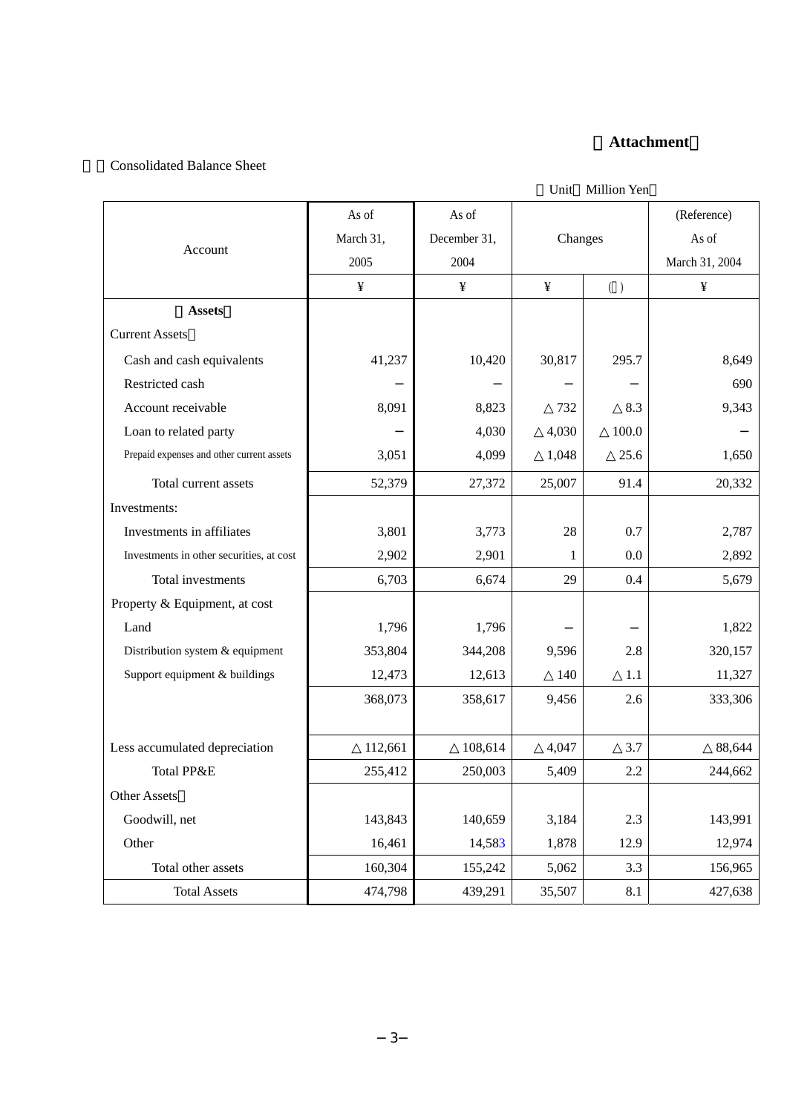# 〔**Attachment**〕

## 1.Consolidated Balance Sheet

|  | Unit Million Yen |
|--|------------------|
|  |                  |

|                                           | As of     | As of        |         |       | (Reference)    |
|-------------------------------------------|-----------|--------------|---------|-------|----------------|
|                                           | March 31, | December 31, | Changes |       | As of          |
| Account                                   | 2005      | 2004         |         |       | March 31, 2004 |
|                                           | ¥         | ¥            | ¥       | ( )   | ¥              |
| <b>Assets</b>                             |           |              |         |       |                |
| <b>Current Assets</b>                     |           |              |         |       |                |
| Cash and cash equivalents                 | 41,237    | 10,420       | 30,817  | 295.7 | 8,649          |
| Restricted cash                           |           |              |         |       | 690            |
| Account receivable                        | 8,091     | 8,823        | 732     | 8.3   | 9,343          |
| Loan to related party                     |           | 4,030        | 4,030   | 100.0 |                |
| Prepaid expenses and other current assets | 3,051     | 4,099        | 1,048   | 25.6  | 1,650          |
| Total current assets                      | 52,379    | 27,372       | 25,007  | 91.4  | 20,332         |
| Investments:                              |           |              |         |       |                |
| Investments in affiliates                 | 3,801     | 3,773        | 28      | 0.7   | 2,787          |
| Investments in other securities, at cost  | 2,902     | 2,901        | 1       | 0.0   | 2,892          |
| Total investments                         | 6,703     | 6,674        | 29      | 0.4   | 5,679          |
| Property & Equipment, at cost             |           |              |         |       |                |
| Land                                      | 1,796     | 1,796        |         |       | 1,822          |
| Distribution system & equipment           | 353,804   | 344,208      | 9,596   | 2.8   | 320,157        |
| Support equipment & buildings             | 12,473    | 12,613       | 140     | 1.1   | 11,327         |
|                                           | 368,073   | 358,617      | 9,456   | 2.6   | 333,306        |
|                                           |           |              |         |       |                |
| Less accumulated depreciation             | 112,661   | 108,614      | 4,047   | 3.7   | 88,644         |
| Total PP&E                                | 255,412   | 250,003      | 5,409   | 2.2   | 244,662        |
| <b>Other Assets</b>                       |           |              |         |       |                |
| Goodwill, net                             | 143,843   | 140,659      | 3,184   | 2.3   | 143,991        |
| Other                                     | 16,461    | 14,583       | 1,878   | 12.9  | 12,974         |
| Total other assets                        | 160,304   | 155,242      | 5,062   | 3.3   | 156,965        |
| <b>Total Assets</b>                       | 474,798   | 439,291      | 35,507  | 8.1   | 427,638        |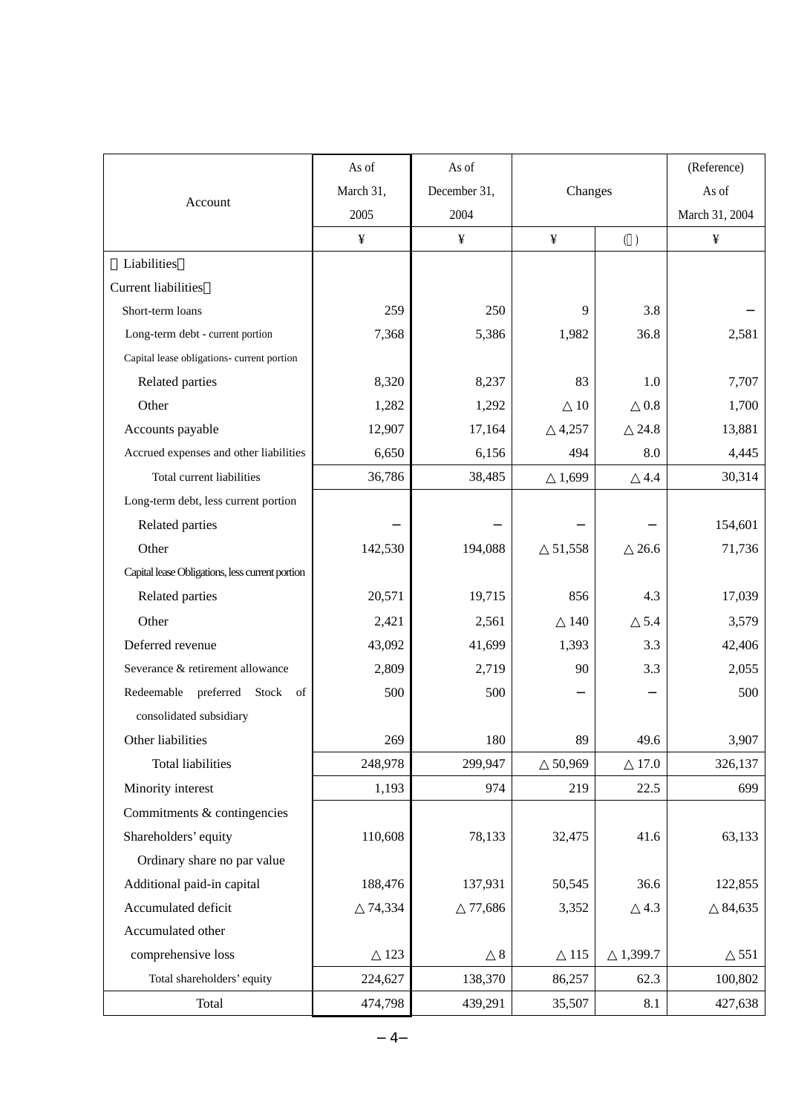|                                                 | As of     | As of        |         |         | (Reference)    |
|-------------------------------------------------|-----------|--------------|---------|---------|----------------|
|                                                 | March 31, | December 31, | Changes |         | As of          |
| Account                                         | 2005      | 2004         |         |         | March 31, 2004 |
|                                                 | ¥         | ¥            | ¥       | ( )     | ¥              |
| Liabilities                                     |           |              |         |         |                |
| <b>Current liabilities</b>                      |           |              |         |         |                |
| Short-term loans                                | 259       | 250          | 9       | 3.8     |                |
| Long-term debt - current portion                | 7,368     | 5,386        | 1,982   | 36.8    | 2,581          |
| Capital lease obligations- current portion      |           |              |         |         |                |
| Related parties                                 | 8,320     | 8,237        | 83      | 1.0     | 7,707          |
| Other                                           | 1,282     | 1,292        | 10      | 0.8     | 1,700          |
| Accounts payable                                | 12,907    | 17,164       | 4,257   | 24.8    | 13,881         |
| Accrued expenses and other liabilities          | 6,650     | 6,156        | 494     | 8.0     | 4,445          |
| Total current liabilities                       | 36,786    | 38,485       | 1,699   | 4.4     | 30,314         |
| Long-term debt, less current portion            |           |              |         |         |                |
| Related parties                                 |           |              |         |         | 154,601        |
| Other                                           | 142,530   | 194,088      | 51,558  | 26.6    | 71,736         |
| Capital lease Obligations, less current portion |           |              |         |         |                |
| Related parties                                 | 20,571    | 19,715       | 856     | 4.3     | 17,039         |
| Other                                           | 2,421     | 2,561        | 140     | 5.4     | 3,579          |
| Deferred revenue                                | 43,092    | 41,699       | 1,393   | 3.3     | 42,406         |
| Severance & retirement allowance                | 2,809     | 2,719        | 90      | 3.3     | 2,055          |
| Redeemable preferred Stock of                   | 500       | 500          |         |         | 500            |
| consolidated subsidiary                         |           |              |         |         |                |
| Other liabilities                               | 269       | 180          | 89      | 49.6    | 3,907          |
| <b>Total liabilities</b>                        | 248,978   | 299,947      | 50,969  | 17.0    | 326,137        |
| Minority interest                               | 1,193     | 974          | 219     | 22.5    | 699            |
| Commitments & contingencies                     |           |              |         |         |                |
| Shareholders' equity                            | 110,608   | 78,133       | 32,475  | 41.6    | 63,133         |
| Ordinary share no par value                     |           |              |         |         |                |
| Additional paid-in capital                      | 188,476   | 137,931      | 50,545  | 36.6    | 122,855        |
| Accumulated deficit                             | 74,334    | 77,686       | 3,352   | 4.3     | 84,635         |
| Accumulated other                               |           |              |         |         |                |
| comprehensive loss                              | 123       | 8            | 115     | 1,399.7 | 551            |
| Total shareholders' equity                      | 224,627   | 138,370      | 86,257  | 62.3    | 100,802        |
| Total                                           | 474,798   | 439,291      | 35,507  | 8.1     | 427,638        |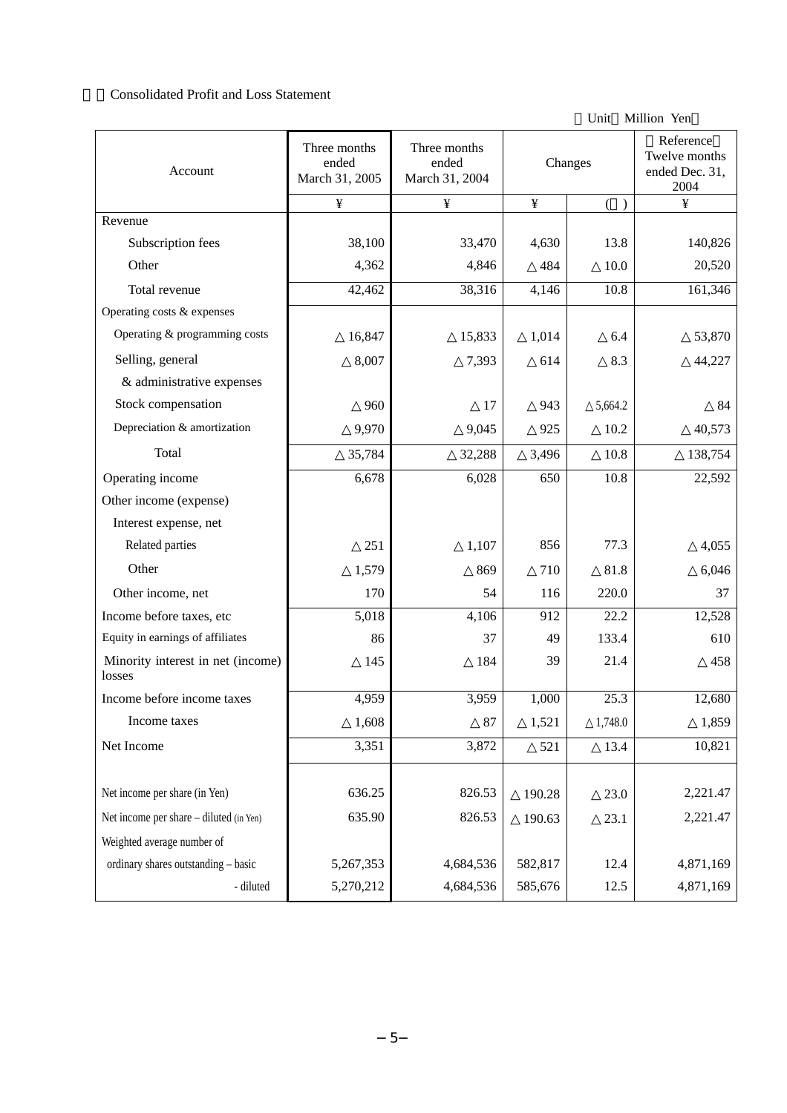#### 2.Consolidated Profit and Loss Statement

Unit Million Yen

| Account                                     | Three months<br>ended<br>March 31, 2005 | Three months<br>ended<br>March 31, 2004 | Changes |         | Reference<br>Twelve months<br>ended Dec. 31,<br>2004 |
|---------------------------------------------|-----------------------------------------|-----------------------------------------|---------|---------|------------------------------------------------------|
|                                             | ¥                                       | ¥                                       | ¥       |         | ¥                                                    |
| Revenue                                     |                                         |                                         |         |         |                                                      |
| Subscription fees                           | 38,100                                  | 33,470                                  | 4,630   | 13.8    | 140,826                                              |
| Other                                       | 4,362                                   | 4,846                                   | 484     | 10.0    | 20,520                                               |
| Total revenue                               | 42,462                                  | 38,316                                  | 4,146   | 10.8    | 161,346                                              |
| Operating costs & expenses                  |                                         |                                         |         |         |                                                      |
| Operating & programming costs               | 16,847                                  | 15,833                                  | 1,014   | 6.4     | 53,870                                               |
| Selling, general                            | 8,007                                   | 7,393                                   | 614     | 8.3     | 44,227                                               |
| & administrative expenses                   |                                         |                                         |         |         |                                                      |
| Stock compensation                          | 960                                     | 17                                      | 943     | 5,664.2 | 84                                                   |
| Depreciation & amortization                 | 9,970                                   | 9,045                                   | 925     | 10.2    | 40,573                                               |
| Total                                       | 35,784                                  | 32,288                                  | 3,496   | 10.8    | 138,754                                              |
| Operating income                            | 6,678                                   | 6,028                                   | 650     | 10.8    | 22,592                                               |
| Other income (expense)                      |                                         |                                         |         |         |                                                      |
| Interest expense, net                       |                                         |                                         |         |         |                                                      |
| Related parties                             | 251                                     | 1,107                                   | 856     | 77.3    | 4,055                                                |
| Other                                       | 1,579                                   | 869                                     | 710     | 81.8    | 6,046                                                |
| Other income, net                           | 170                                     | 54                                      | 116     | 220.0   | 37                                                   |
| Income before taxes, etc                    | 5,018                                   | 4,106                                   | 912     | 22.2    | 12,528                                               |
| Equity in earnings of affiliates            | 86                                      | 37                                      | 49      | 133.4   | 610                                                  |
| Minority interest in net (income)<br>losses | 145                                     | 184                                     | 39      | 21.4    | 458                                                  |
| Income before income taxes                  | 4,959                                   | 3,959                                   | 1,000   | 25.3    | 12,680                                               |
| Income taxes                                | 1,608                                   | 87                                      | 1,521   | 1,748.0 | 1,859                                                |
| Net Income                                  | 3,351                                   | 3,872                                   | 521     | 13.4    | 10,821                                               |
|                                             |                                         |                                         |         |         |                                                      |
| Net income per share (in Yen)               | 636.25                                  | 826.53                                  | 190.28  | 23.0    | 2,221.47                                             |
| Net income per share - diluted (in Yen)     | 635.90                                  | 826.53                                  | 190.63  | 23.1    | 2,221.47                                             |
| Weighted average number of                  |                                         |                                         |         |         |                                                      |
| ordinary shares outstanding - basic         | 5,267,353                               | 4,684,536                               | 582,817 | 12.4    | 4,871,169                                            |
| - diluted                                   | 5,270,212                               | 4,684,536                               | 585,676 | 12.5    | 4,871,169                                            |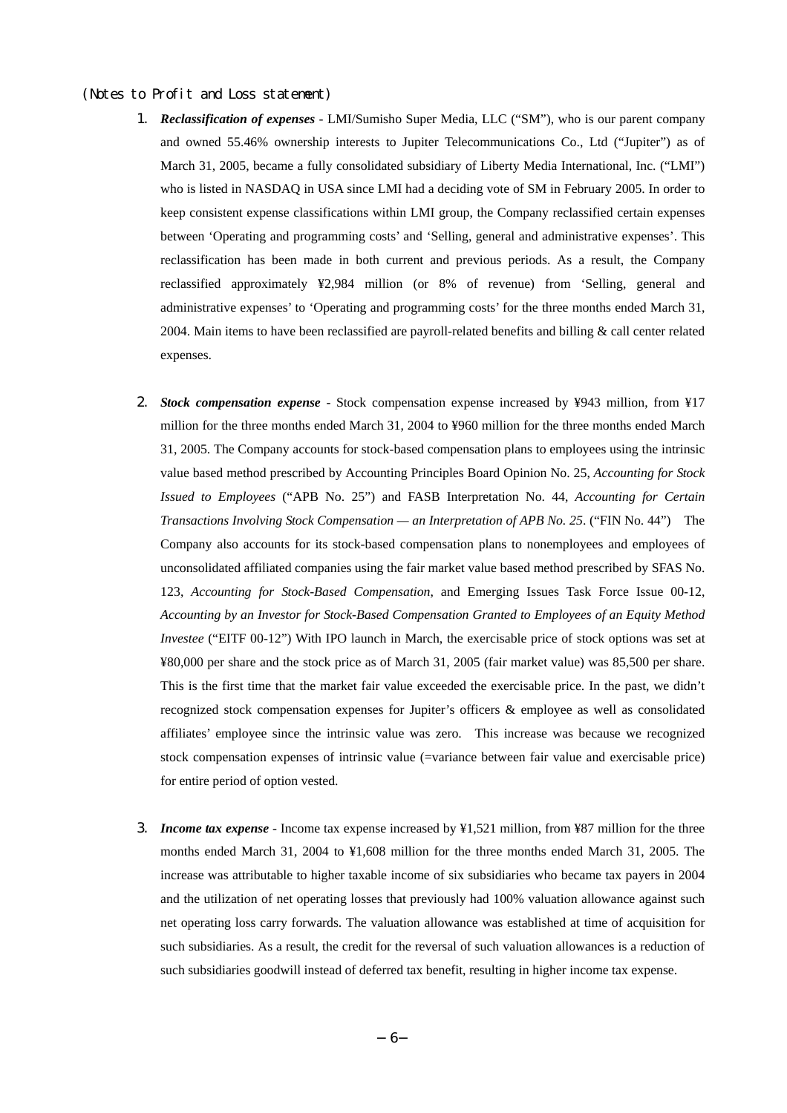#### (Notes to Profit and Loss statement)

- 1. *Reclassification of expenses* LMI/Sumisho Super Media, LLC ("SM"), who is our parent company and owned 55.46% ownership interests to Jupiter Telecommunications Co., Ltd ("Jupiter") as of March 31, 2005, became a fully consolidated subsidiary of Liberty Media International, Inc. ("LMI") who is listed in NASDAQ in USA since LMI had a deciding vote of SM in February 2005. In order to keep consistent expense classifications within LMI group, the Company reclassified certain expenses between 'Operating and programming costs' and 'Selling, general and administrative expenses'. This reclassification has been made in both current and previous periods. As a result, the Company reclassified approximately ¥2,984 million (or 8% of revenue) from 'Selling, general and administrative expenses' to 'Operating and programming costs' for the three months ended March 31, 2004. Main items to have been reclassified are payroll-related benefits and billing  $\&$  call center related expenses.
- 2. *Stock compensation expense* Stock compensation expense increased by ¥943 million, from ¥17 million for the three months ended March 31, 2004 to ¥960 million for the three months ended March 31, 2005. The Company accounts for stock-based compensation plans to employees using the intrinsic value based method prescribed by Accounting Principles Board Opinion No. 25, *Accounting for Stock Issued to Employees* ("APB No. 25") and FASB Interpretation No. 44, *Accounting for Certain Transactions Involving Stock Compensation — an Interpretation of APB No. 25*. ("FIN No. 44") The Company also accounts for its stock-based compensation plans to nonemployees and employees of unconsolidated affiliated companies using the fair market value based method prescribed by SFAS No. 123, *Accounting for Stock-Based Compensation*, and Emerging Issues Task Force Issue 00-12, *Accounting by an Investor for Stock-Based Compensation Granted to Employees of an Equity Method Investee* ("EITF 00-12") With IPO launch in March, the exercisable price of stock options was set at ¥80,000 per share and the stock price as of March 31, 2005 (fair market value) was 85,500 per share. This is the first time that the market fair value exceeded the exercisable price. In the past, we didn't recognized stock compensation expenses for Jupiter's officers & employee as well as consolidated affiliates' employee since the intrinsic value was zero. This increase was because we recognized stock compensation expenses of intrinsic value (=variance between fair value and exercisable price) for entire period of option vested.
- 3. *Income tax expense* Income tax expense increased by ¥1,521 million, from ¥87 million for the three months ended March 31, 2004 to ¥1,608 million for the three months ended March 31, 2005. The increase was attributable to higher taxable income of six subsidiaries who became tax payers in 2004 and the utilization of net operating losses that previously had 100% valuation allowance against such net operating loss carry forwards. The valuation allowance was established at time of acquisition for such subsidiaries. As a result, the credit for the reversal of such valuation allowances is a reduction of such subsidiaries goodwill instead of deferred tax benefit, resulting in higher income tax expense.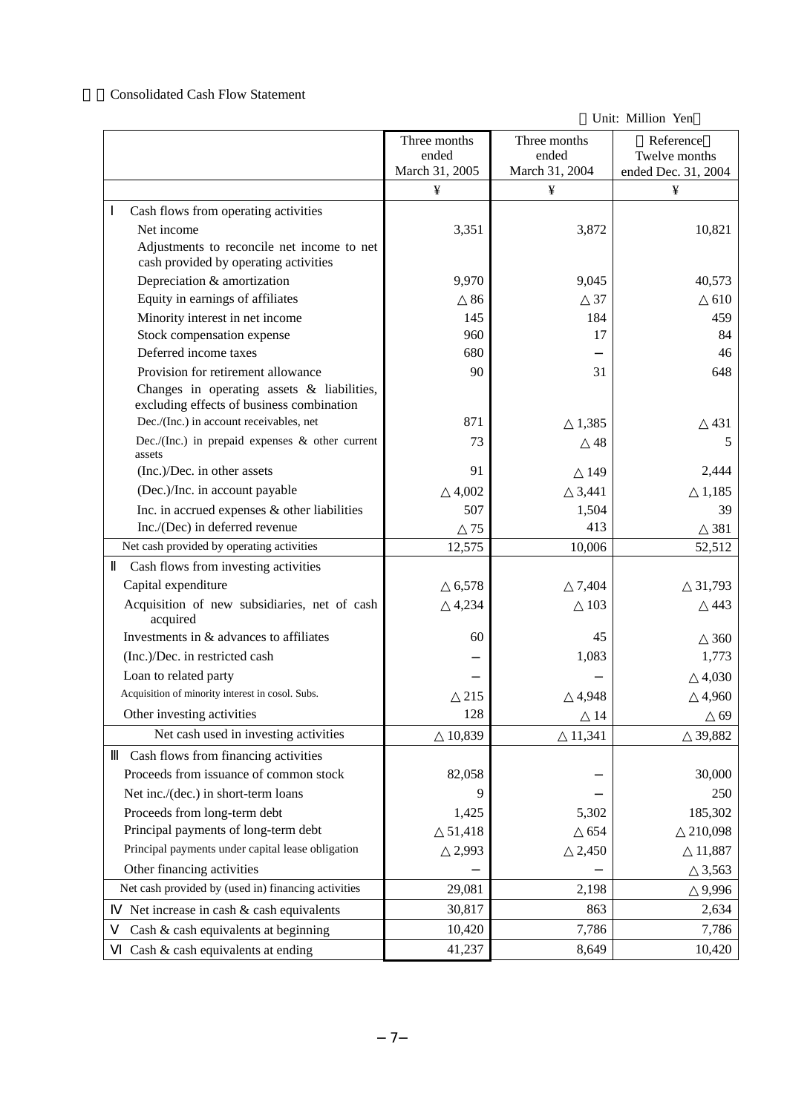#### 3.Consolidated Cash Flow Statement

Unit: Million Yen

|                                                                                         | Three months<br>ended | Three months<br>ended | Reference<br>Twelve months |
|-----------------------------------------------------------------------------------------|-----------------------|-----------------------|----------------------------|
|                                                                                         | March 31, 2005<br>¥   | March 31, 2004<br>¥   | ended Dec. 31, 2004<br>¥   |
|                                                                                         |                       |                       |                            |
| Cash flows from operating activities                                                    |                       |                       |                            |
| Net income<br>Adjustments to reconcile net income to net                                | 3,351                 | 3,872                 | 10,821                     |
| cash provided by operating activities                                                   |                       |                       |                            |
| Depreciation & amortization                                                             | 9,970                 | 9,045                 | 40,573                     |
| Equity in earnings of affiliates                                                        | 86                    | 37                    | 610                        |
| Minority interest in net income                                                         | 145                   | 184                   | 459                        |
| Stock compensation expense                                                              | 960                   | 17                    | 84                         |
| Deferred income taxes                                                                   | 680                   |                       | 46                         |
| Provision for retirement allowance                                                      | 90                    | 31                    | 648                        |
| Changes in operating assets & liabilities,<br>excluding effects of business combination |                       |                       |                            |
| Dec./(Inc.) in account receivables, net                                                 | 871                   | 1,385                 | 431                        |
| Dec./(Inc.) in prepaid expenses $\&$ other current<br>assets                            | 73                    | 48                    | 5                          |
| (Inc.)/Dec. in other assets                                                             | 91                    | 149                   | 2,444                      |
| (Dec.)/Inc. in account payable                                                          | 4,002                 | 3,441                 | 1,185                      |
| Inc. in accrued expenses & other liabilities                                            | 507                   | 1,504                 | 39                         |
| Inc./(Dec) in deferred revenue                                                          | 75                    | 413                   | 381                        |
| Net cash provided by operating activities                                               | 12,575                | 10,006                | 52,512                     |
| Cash flows from investing activities                                                    |                       |                       |                            |
| Capital expenditure                                                                     | 6,578                 | 7,404                 | 31,793                     |
| Acquisition of new subsidiaries, net of cash<br>acquired                                | 4,234                 | 103                   | 443                        |
| Investments in & advances to affiliates                                                 | 60                    | 45                    | 360                        |
| (Inc.)/Dec. in restricted cash                                                          |                       | 1,083                 | 1,773                      |
| Loan to related party                                                                   |                       |                       | 4,030                      |
| Acquisition of minority interest in cosol. Subs.                                        | 215                   | 4,948                 | 4,960                      |
| Other investing activities                                                              | 128                   | 14                    | 69                         |
| Net cash used in investing activities                                                   | 10,839                | 11,341                | 39,882                     |
| Cash flows from financing activities                                                    |                       |                       |                            |
| Proceeds from issuance of common stock                                                  | 82,058                |                       | 30,000                     |
| Net inc./(dec.) in short-term loans                                                     | 9                     |                       | 250                        |
| Proceeds from long-term debt                                                            | 1,425                 | 5,302                 | 185,302                    |
| Principal payments of long-term debt                                                    | 51,418                | 654                   | 210,098                    |
| Principal payments under capital lease obligation                                       | 2,993                 | 2,450                 | 11,887                     |
| Other financing activities                                                              |                       |                       | 3,563                      |
| Net cash provided by (used in) financing activities                                     | 29,081                | 2,198                 | 9,996                      |
| Net increase in cash & cash equivalents                                                 | 30,817                | 863                   | 2,634                      |
| Cash & cash equivalents at beginning                                                    | 10,420                | 7,786                 | 7,786                      |
| Cash & cash equivalents at ending                                                       | 41,237                | 8,649                 | 10,420                     |